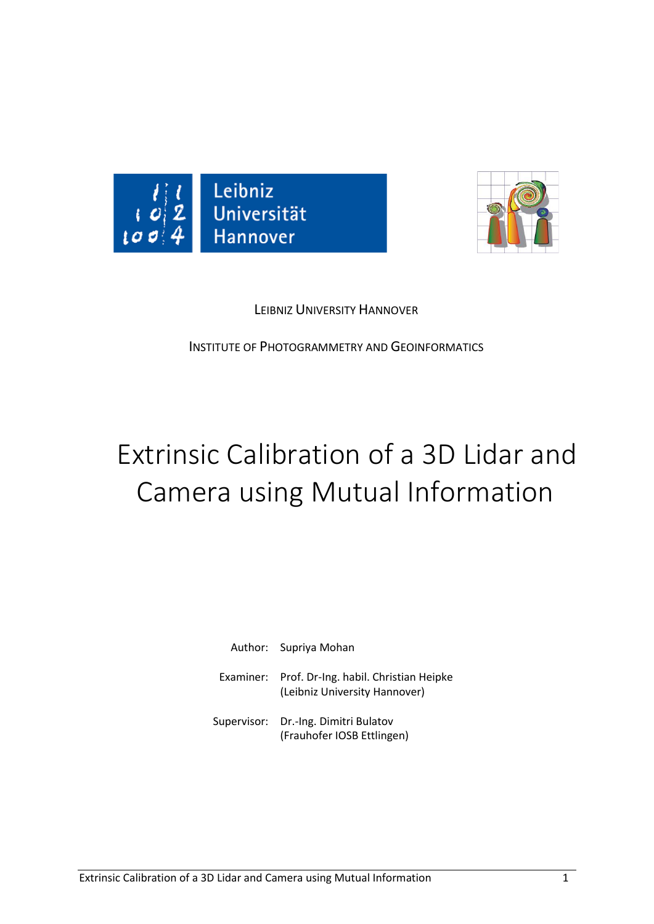



## LEIBNIZ UNIVERSITY HANNOVER

INSTITUTE OF PHOTOGRAMMETRY AND GEOINFORMATICS

## Extrinsic Calibration of a 3D Lidar and Camera using Mutual Information

| Author: Supriya Mohan                                                            |
|----------------------------------------------------------------------------------|
| Examiner: Prof. Dr-Ing. habil. Christian Heipke<br>(Leibniz University Hannover) |
| Supervisor: Dr.-Ing. Dimitri Bulatov<br>(Frauhofer IOSB Ettlingen)               |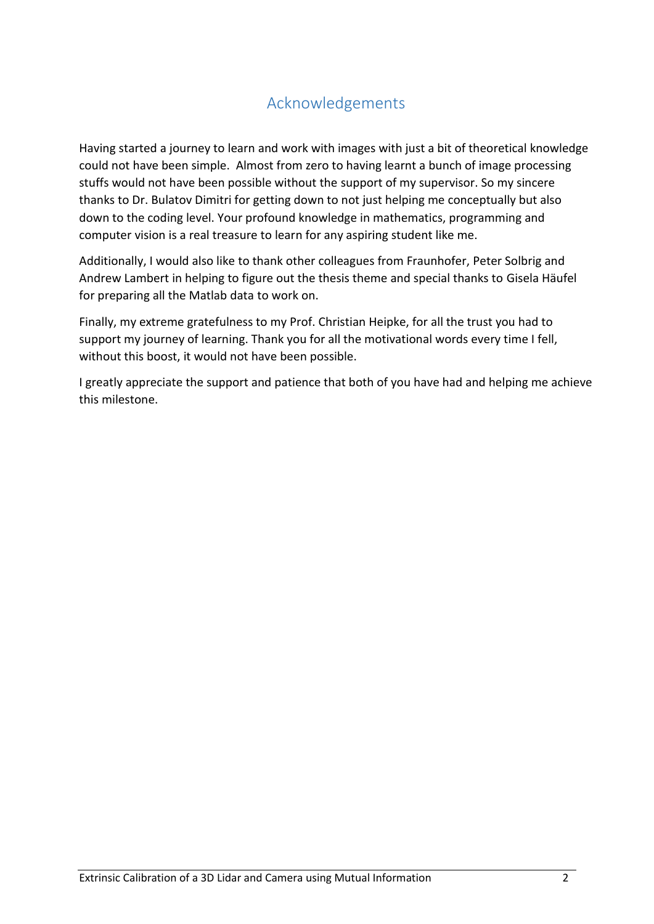## Acknowledgements

Having started a journey to learn and work with images with just a bit of theoretical knowledge could not have been simple. Almost from zero to having learnt a bunch of image processing stuffs would not have been possible without the support of my supervisor. So my sincere thanks to Dr. Bulatov Dimitri for getting down to not just helping me conceptually but also down to the coding level. Your profound knowledge in mathematics, programming and computer vision is a real treasure to learn for any aspiring student like me.

Additionally, I would also like to thank other colleagues from Fraunhofer, Peter Solbrig and Andrew Lambert in helping to figure out the thesis theme and special thanks to Gisela Häufel for preparing all the Matlab data to work on.

Finally, my extreme gratefulness to my Prof. Christian Heipke, for all the trust you had to support my journey of learning. Thank you for all the motivational words every time I fell, without this boost, it would not have been possible.

I greatly appreciate the support and patience that both of you have had and helping me achieve this milestone.